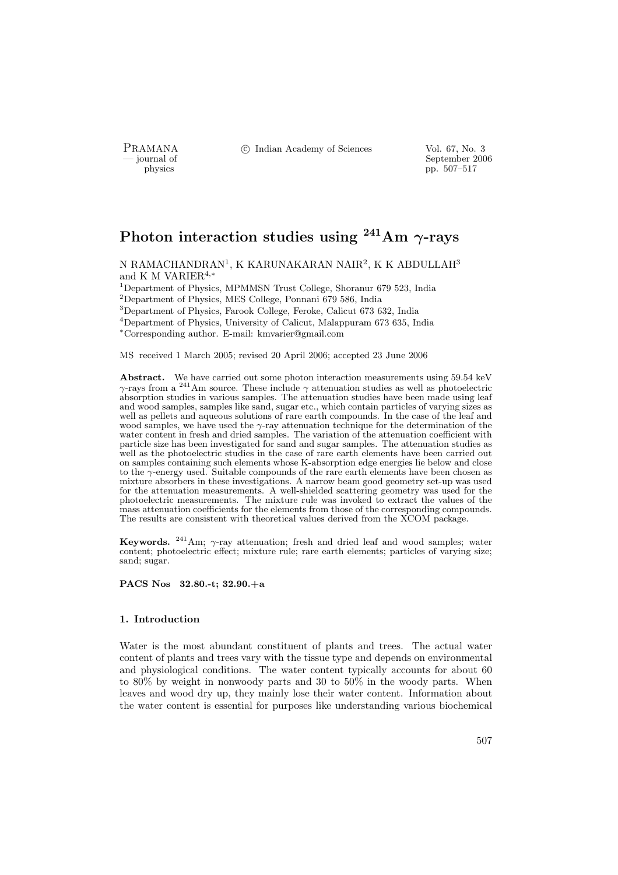PRAMANA <sup>©</sup>© Indian Academy of Sciences Vol. 67, No. 3<br>
— journal of September 200

ournal of September 2006<br>
physics pp. 507–517 pp. 507–517

# Photon interaction studies using  $^{241}$ Am  $\gamma$ -rays

N RAMACHANDRAN $^1, \,$ K KARUNAKARAN NAIR $^2, \,$ K K ABDULLAH $^3$ and K M VARIER<sup>4,\*</sup>

Department of Physics, MPMMSN Trust College, Shoranur 679 523, India Department of Physics, MES College, Ponnani 679 586, India Department of Physics, Farook College, Feroke, Calicut 673 632, India Department of Physics, University of Calicut, Malappuram 673 635, India <sup>∗</sup>Corresponding author. E-mail: kmvarier@gmail.com

MS received 1 March 2005; revised 20 April 2006; accepted 23 June 2006

Abstract. We have carried out some photon interaction measurements using 59.54 keV γ-rays from a <sup>241</sup>Am source. These include γ attenuation studies as well as photoelectric absorption studies in various samples. The attenuation studies have been made using leaf and wood samples, samples like sand, sugar etc., which contain particles of varying sizes as well as pellets and aqueous solutions of rare earth compounds. In the case of the leaf and wood samples, we have used the γ-ray attenuation technique for the determination of the water content in fresh and dried samples. The variation of the attenuation coefficient with particle size has been investigated for sand and sugar samples. The attenuation studies as well as the photoelectric studies in the case of rare earth elements have been carried out on samples containing such elements whose K-absorption edge energies lie below and close to the  $\gamma$ -energy used. Suitable compounds of the rare earth elements have been chosen as mixture absorbers in these investigations. A narrow beam good geometry set-up was used for the attenuation measurements. A well-shielded scattering geometry was used for the photoelectric measurements. The mixture rule was invoked to extract the values of the mass attenuation coefficients for the elements from those of the corresponding compounds. The results are consistent with theoretical values derived from the XCOM package.

Keywords. <sup>241</sup>Am;  $\gamma$ -ray attenuation; fresh and dried leaf and wood samples; water content; photoelectric effect; mixture rule; rare earth elements; particles of varying size; sand; sugar.

PACS Nos 32.80.-t; 32.90.+a

# 1. Introduction

Water is the most abundant constituent of plants and trees. The actual water content of plants and trees vary with the tissue type and depends on environmental and physiological conditions. The water content typically accounts for about 60 to 80% by weight in nonwoody parts and 30 to 50% in the woody parts. When leaves and wood dry up, they mainly lose their water content. Information about the water content is essential for purposes like understanding various biochemical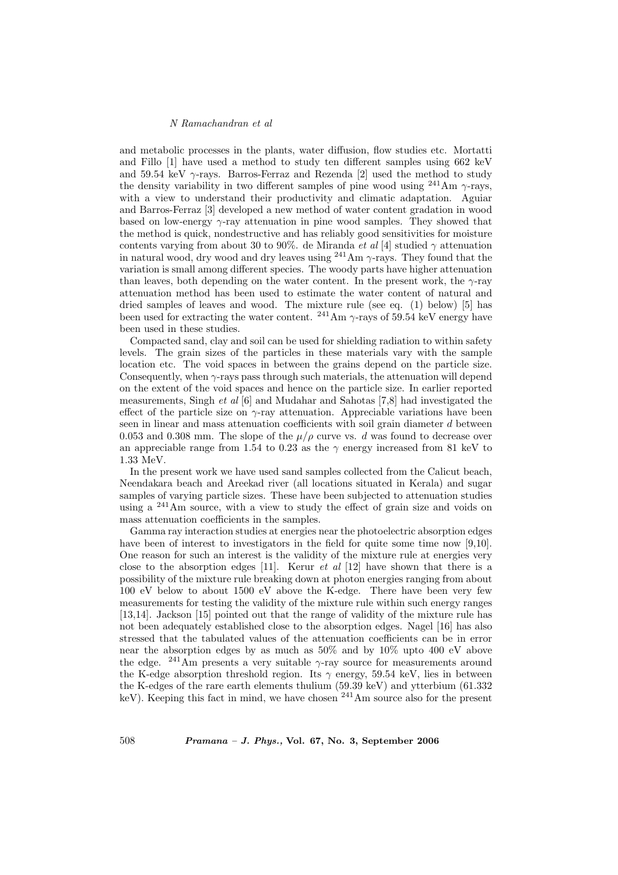and metabolic processes in the plants, water diffusion, flow studies etc. Mortatti and Fillo [1] have used a method to study ten different samples using 662 keV and 59.54 keV  $\gamma$ -rays. Barros-Ferraz and Rezenda [2] used the method to study the density variability in two different samples of pine wood using  $^{241}Am \gamma$ -rays, with a view to understand their productivity and climatic adaptation. Aguiar and Barros-Ferraz [3] developed a new method of water content gradation in wood based on low-energy  $\gamma$ -ray attenuation in pine wood samples. They showed that the method is quick, nondestructive and has reliably good sensitivities for moisture contents varying from about 30 to 90%. de Miranda et al [4] studied  $\gamma$  attenuation in natural wood, dry wood and dry leaves using  $241 \text{Am } \gamma$ -rays. They found that the variation is small among different species. The woody parts have higher attenuation than leaves, both depending on the water content. In the present work, the  $\gamma$ -ray attenuation method has been used to estimate the water content of natural and dried samples of leaves and wood. The mixture rule (see eq. (1) below) [5] has been used for extracting the water content. <sup>241</sup>Am  $\gamma$ -rays of 59.54 keV energy have been used in these studies.

Compacted sand, clay and soil can be used for shielding radiation to within safety levels. The grain sizes of the particles in these materials vary with the sample location etc. The void spaces in between the grains depend on the particle size. Consequently, when  $\gamma$ -rays pass through such materials, the attenuation will depend on the extent of the void spaces and hence on the particle size. In earlier reported measurements, Singh et al [6] and Mudahar and Sahotas [7,8] had investigated the effect of the particle size on  $\gamma$ -ray attenuation. Appreciable variations have been seen in linear and mass attenuation coefficients with soil grain diameter d between 0.053 and 0.308 mm. The slope of the  $\mu/\rho$  curve vs. d was found to decrease over an appreciable range from 1.54 to 0.23 as the  $\gamma$  energy increased from 81 keV to 1.33 MeV.

In the present work we have used sand samples collected from the Calicut beach, Neendakara beach and Areekad river (all locations situated in Kerala) and sugar samples of varying particle sizes. These have been subjected to attenuation studies using a  $^{241}$ Am source, with a view to study the effect of grain size and voids on mass attenuation coefficients in the samples.

Gamma ray interaction studies at energies near the photoelectric absorption edges have been of interest to investigators in the field for quite some time now [9,10]. One reason for such an interest is the validity of the mixture rule at energies very close to the absorption edges [11]. Kerur *et al* [12] have shown that there is a possibility of the mixture rule breaking down at photon energies ranging from about 100 eV below to about 1500 eV above the K-edge. There have been very few measurements for testing the validity of the mixture rule within such energy ranges [13,14]. Jackson [15] pointed out that the range of validity of the mixture rule has not been adequately established close to the absorption edges. Nagel [16] has also stressed that the tabulated values of the attenuation coefficients can be in error near the absorption edges by as much as 50% and by 10% upto 400 eV above the edge. <sup>241</sup>Am presents a very suitable  $\gamma$ -ray source for measurements around the K-edge absorption threshold region. Its  $\gamma$  energy, 59.54 keV, lies in between the K-edges of the rare earth elements thulium (59.39 keV) and ytterbium (61.332 keV). Keeping this fact in mind, we have chosen  $241$ Am source also for the present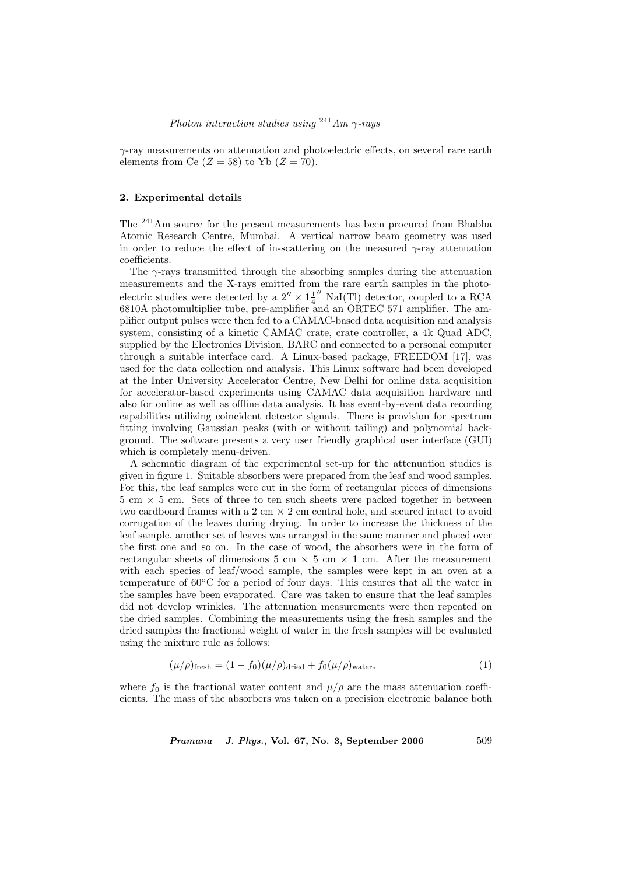γ-ray measurements on attenuation and photoelectric effects, on several rare earth elements from Ce  $(Z = 58)$  to Yb  $(Z = 70)$ .

#### 2. Experimental details

The <sup>241</sup>Am source for the present measurements has been procured from Bhabha Atomic Research Centre, Mumbai. A vertical narrow beam geometry was used in order to reduce the effect of in-scattering on the measured  $\gamma$ -ray attenuation coefficients.

The  $\gamma$ -rays transmitted through the absorbing samples during the attenuation measurements and the X-rays emitted from the rare earth samples in the photoelectric studies were detected by a  $2'' \times 1\frac{1}{4}''$  NaI(Tl) detector, coupled to a RCA 6810A photomultiplier tube, pre-amplifier and an ORTEC 571 amplifier. The amplifier output pulses were then fed to a CAMAC-based data acquisition and analysis system, consisting of a kinetic CAMAC crate, crate controller, a 4k Quad ADC, supplied by the Electronics Division, BARC and connected to a personal computer through a suitable interface card. A Linux-based package, FREEDOM [17], was used for the data collection and analysis. This Linux software had been developed at the Inter University Accelerator Centre, New Delhi for online data acquisition for accelerator-based experiments using CAMAC data acquisition hardware and also for online as well as offline data analysis. It has event-by-event data recording capabilities utilizing coincident detector signals. There is provision for spectrum fitting involving Gaussian peaks (with or without tailing) and polynomial background. The software presents a very user friendly graphical user interface (GUI) which is completely menu-driven.

A schematic diagram of the experimental set-up for the attenuation studies is given in figure 1. Suitable absorbers were prepared from the leaf and wood samples. For this, the leaf samples were cut in the form of rectangular pieces of dimensions  $5 \text{ cm} \times 5 \text{ cm}$ . Sets of three to ten such sheets were packed together in between two cardboard frames with a  $2 \text{ cm} \times 2 \text{ cm}$  central hole, and secured intact to avoid corrugation of the leaves during drying. In order to increase the thickness of the leaf sample, another set of leaves was arranged in the same manner and placed over the first one and so on. In the case of wood, the absorbers were in the form of rectangular sheets of dimensions 5 cm  $\times$  5 cm  $\times$  1 cm. After the measurement with each species of leaf/wood sample, the samples were kept in an oven at a temperature of  $60^{\circ}$ C for a period of four days. This ensures that all the water in the samples have been evaporated. Care was taken to ensure that the leaf samples did not develop wrinkles. The attenuation measurements were then repeated on the dried samples. Combining the measurements using the fresh samples and the dried samples the fractional weight of water in the fresh samples will be evaluated using the mixture rule as follows:

$$
(\mu/\rho)_{\text{fresh}} = (1 - f_0)(\mu/\rho)_{\text{dried}} + f_0(\mu/\rho)_{\text{water}},\tag{1}
$$

where  $f_0$  is the fractional water content and  $\mu/\rho$  are the mass attenuation coefficients. The mass of the absorbers was taken on a precision electronic balance both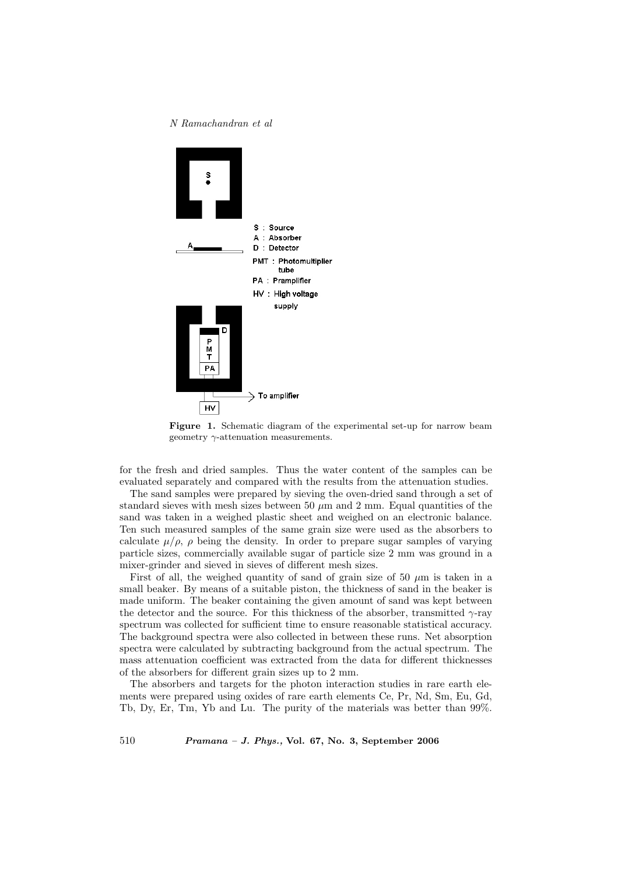

Figure 1. Schematic diagram of the experimental set-up for narrow beam geometry  $\gamma$ -attenuation measurements.

for the fresh and dried samples. Thus the water content of the samples can be evaluated separately and compared with the results from the attenuation studies.

The sand samples were prepared by sieving the oven-dried sand through a set of standard sieves with mesh sizes between 50  $\mu$ m and 2 mm. Equal quantities of the sand was taken in a weighed plastic sheet and weighed on an electronic balance. Ten such measured samples of the same grain size were used as the absorbers to calculate  $\mu/\rho$ ,  $\rho$  being the density. In order to prepare sugar samples of varying particle sizes, commercially available sugar of particle size 2 mm was ground in a mixer-grinder and sieved in sieves of different mesh sizes.

First of all, the weighed quantity of sand of grain size of  $50 \mu m$  is taken in a small beaker. By means of a suitable piston, the thickness of sand in the beaker is made uniform. The beaker containing the given amount of sand was kept between the detector and the source. For this thickness of the absorber, transmitted  $\gamma$ -ray spectrum was collected for sufficient time to ensure reasonable statistical accuracy. The background spectra were also collected in between these runs. Net absorption spectra were calculated by subtracting background from the actual spectrum. The mass attenuation coefficient was extracted from the data for different thicknesses of the absorbers for different grain sizes up to 2 mm.

The absorbers and targets for the photon interaction studies in rare earth elements were prepared using oxides of rare earth elements Ce, Pr, Nd, Sm, Eu, Gd, Tb, Dy, Er, Tm, Yb and Lu. The purity of the materials was better than 99%.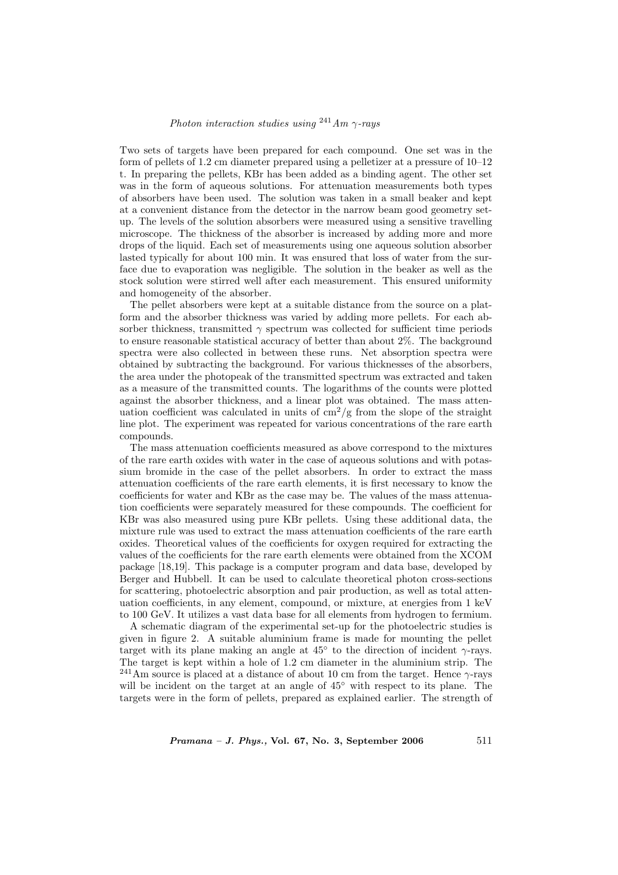Two sets of targets have been prepared for each compound. One set was in the form of pellets of 1.2 cm diameter prepared using a pelletizer at a pressure of 10–12 t. In preparing the pellets, KBr has been added as a binding agent. The other set was in the form of aqueous solutions. For attenuation measurements both types of absorbers have been used. The solution was taken in a small beaker and kept at a convenient distance from the detector in the narrow beam good geometry setup. The levels of the solution absorbers were measured using a sensitive travelling microscope. The thickness of the absorber is increased by adding more and more drops of the liquid. Each set of measurements using one aqueous solution absorber lasted typically for about 100 min. It was ensured that loss of water from the surface due to evaporation was negligible. The solution in the beaker as well as the stock solution were stirred well after each measurement. This ensured uniformity and homogeneity of the absorber.

The pellet absorbers were kept at a suitable distance from the source on a platform and the absorber thickness was varied by adding more pellets. For each absorber thickness, transmitted  $\gamma$  spectrum was collected for sufficient time periods to ensure reasonable statistical accuracy of better than about 2%. The background spectra were also collected in between these runs. Net absorption spectra were obtained by subtracting the background. For various thicknesses of the absorbers, the area under the photopeak of the transmitted spectrum was extracted and taken as a measure of the transmitted counts. The logarithms of the counts were plotted against the absorber thickness, and a linear plot was obtained. The mass attenuation coefficient was calculated in units of  $\text{cm}^2/\text{g}$  from the slope of the straight line plot. The experiment was repeated for various concentrations of the rare earth compounds.

The mass attenuation coefficients measured as above correspond to the mixtures of the rare earth oxides with water in the case of aqueous solutions and with potassium bromide in the case of the pellet absorbers. In order to extract the mass attenuation coefficients of the rare earth elements, it is first necessary to know the coefficients for water and KBr as the case may be. The values of the mass attenuation coefficients were separately measured for these compounds. The coefficient for KBr was also measured using pure KBr pellets. Using these additional data, the mixture rule was used to extract the mass attenuation coefficients of the rare earth oxides. Theoretical values of the coefficients for oxygen required for extracting the values of the coefficients for the rare earth elements were obtained from the XCOM package [18,19]. This package is a computer program and data base, developed by Berger and Hubbell. It can be used to calculate theoretical photon cross-sections for scattering, photoelectric absorption and pair production, as well as total attenuation coefficients, in any element, compound, or mixture, at energies from 1 keV to 100 GeV. It utilizes a vast data base for all elements from hydrogen to fermium.

A schematic diagram of the experimental set-up for the photoelectric studies is given in figure 2. A suitable aluminium frame is made for mounting the pellet target with its plane making an angle at  $45^{\circ}$  to the direction of incident  $\gamma$ -rays. The target is kept within a hole of 1.2 cm diameter in the aluminium strip. The <sup>241</sup>Am source is placed at a distance of about 10 cm from the target. Hence  $\gamma$ -rays will be incident on the target at an angle of  $45°$  with respect to its plane. The targets were in the form of pellets, prepared as explained earlier. The strength of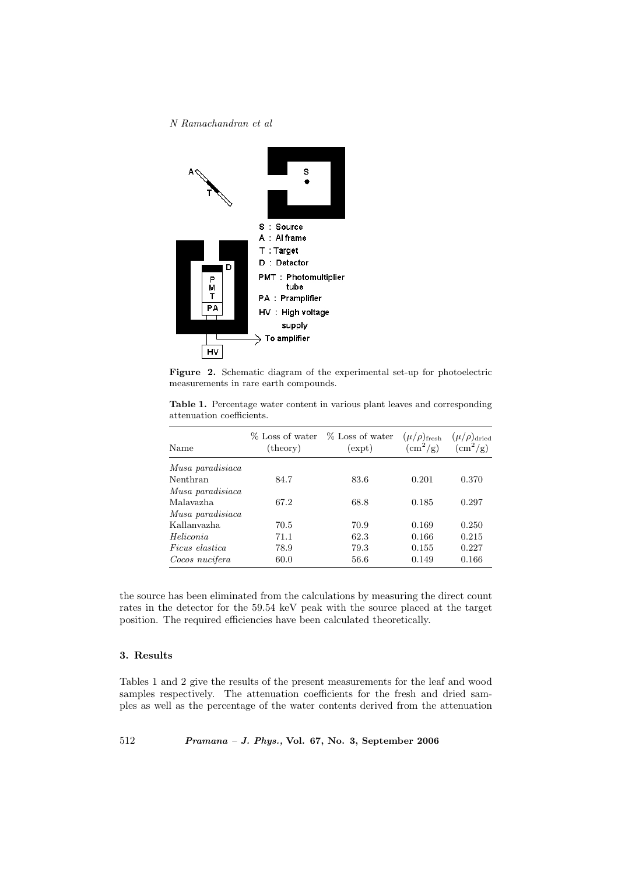

Figure 2. Schematic diagram of the experimental set-up for photoelectric measurements in rare earth compounds.

| <b>Table 1.</b> Percentage water content in various plant leaves and corresponding |  |  |  |
|------------------------------------------------------------------------------------|--|--|--|
| attenuation coefficients.                                                          |  |  |  |

| Name                  | % Loss of water<br>$(\text{theory})$ | % Loss of water<br>$(\text{expt})$ | $(\mu/\rho)_{\rm fresh}$<br>$\rm (cm^2/g)$ | $(\mu/\rho)_{\rm dried}$<br>$\rm (cm^2/g)$ |
|-----------------------|--------------------------------------|------------------------------------|--------------------------------------------|--------------------------------------------|
| Musa paradisiaca      |                                      |                                    |                                            |                                            |
| Nenthran              | 84.7                                 | 83.6                               | 0.201                                      | 0.370                                      |
| Musa paradisiaca      |                                      |                                    |                                            |                                            |
| Malayazha.            | 67.2                                 | 68.8                               | 0.185                                      | 0.297                                      |
| Musa paradisiaca      |                                      |                                    |                                            |                                            |
| Kallanyazha           | 70.5                                 | 70.9                               | 0.169                                      | 0.250                                      |
| Heliconia             | 71.1                                 | 62.3                               | 0.166                                      | 0.215                                      |
| <i>Ficus elastica</i> | 78.9                                 | 79.3                               | 0.155                                      | 0.227                                      |
| Cocos nucifera        | 60.0                                 | 56.6                               | 0.149                                      | 0.166                                      |

the source has been eliminated from the calculations by measuring the direct count rates in the detector for the 59.54 keV peak with the source placed at the target position. The required efficiencies have been calculated theoretically.

# 3. Results

Tables 1 and 2 give the results of the present measurements for the leaf and wood samples respectively. The attenuation coefficients for the fresh and dried samples as well as the percentage of the water contents derived from the attenuation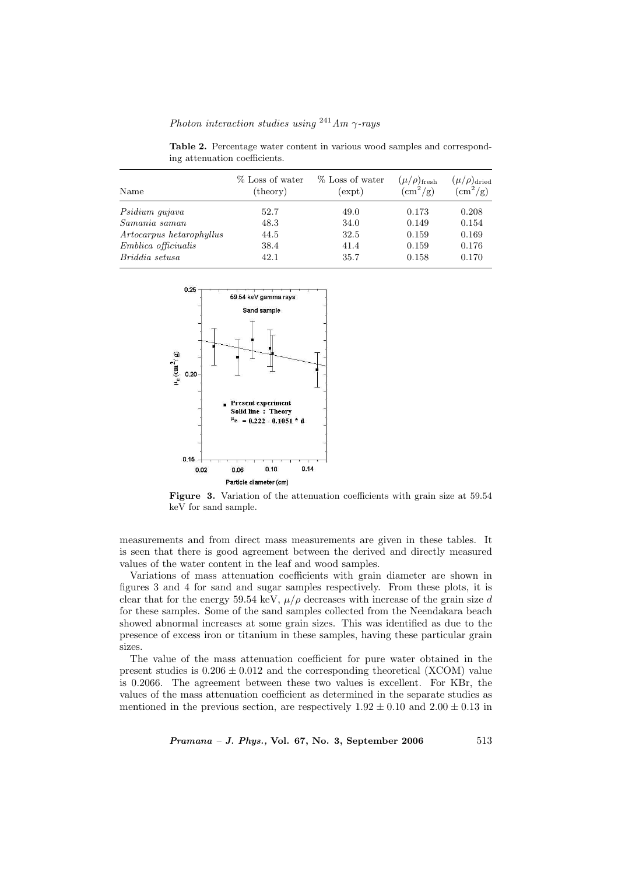Photon interaction studies using  $^{241}Am \gamma$ -rays

Table 2. Percentage water content in various wood samples and corresponding attenuation coefficients.

| Name                     | % Loss of water<br>$(\text{theory})$ | % Loss of water<br>$(\text{expt})$ | $(\mu/\rho)_{\rm fresh}$<br>$\rm (cm^2/g)$ | $(\mu/\rho)_{\rm dried}$<br>$\rm (cm^2/g)$ |
|--------------------------|--------------------------------------|------------------------------------|--------------------------------------------|--------------------------------------------|
| Psidium gujava           | 52.7                                 | 49.0                               | 0.173                                      | 0.208                                      |
| Samania saman            | 48.3                                 | 34.0                               | 0.149                                      | 0.154                                      |
| Artocarpus hetarophyllus | 44.5                                 | 32.5                               | 0.159                                      | 0.169                                      |
| Emblica officiualis      | 38.4                                 | 41.4                               | 0.159                                      | 0.176                                      |
| Briddia setusa           | 42.1                                 | 35.7                               | 0.158                                      | 0.170                                      |



Figure 3. Variation of the attenuation coefficients with grain size at 59.54 keV for sand sample.

measurements and from direct mass measurements are given in these tables. It is seen that there is good agreement between the derived and directly measured values of the water content in the leaf and wood samples.

Variations of mass attenuation coefficients with grain diameter are shown in figures 3 and 4 for sand and sugar samples respectively. From these plots, it is clear that for the energy 59.54 keV,  $\mu/\rho$  decreases with increase of the grain size d for these samples. Some of the sand samples collected from the Neendakara beach showed abnormal increases at some grain sizes. This was identified as due to the presence of excess iron or titanium in these samples, having these particular grain sizes.

The value of the mass attenuation coefficient for pure water obtained in the present studies is  $0.206 \pm 0.012$  and the corresponding theoretical (XCOM) value is 0.2066. The agreement between these two values is excellent. For KBr, the values of the mass attenuation coefficient as determined in the separate studies as mentioned in the previous section, are respectively  $1.92 \pm 0.10$  and  $2.00 \pm 0.13$  in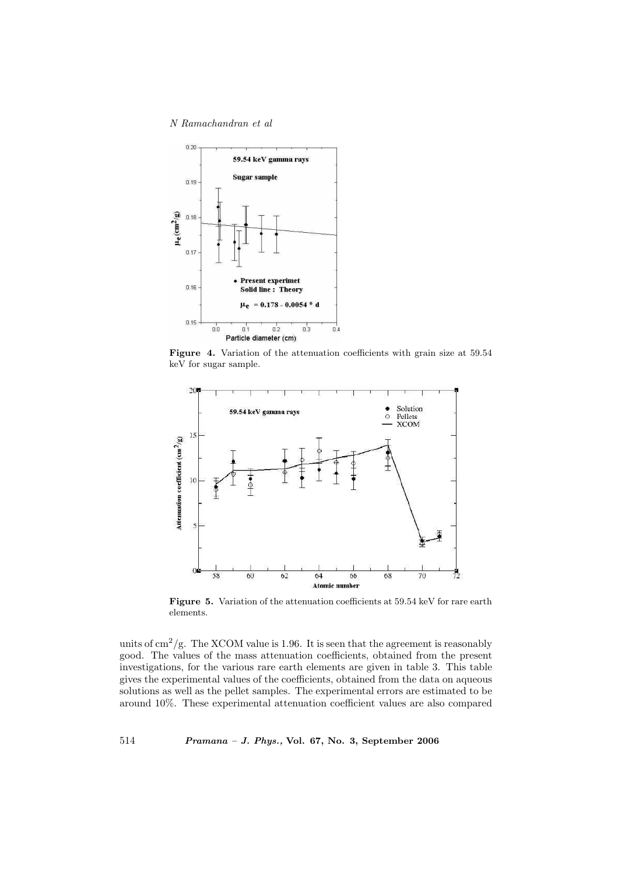

Figure 4. Variation of the attenuation coefficients with grain size at 59.54 keV for sugar sample.



Figure 5. Variation of the attenuation coefficients at 59.54 keV for rare earth elements.

units of  $\text{cm}^2/\text{g}$ . The XCOM value is 1.96. It is seen that the agreement is reasonably good. The values of the mass attenuation coefficients, obtained from the present investigations, for the various rare earth elements are given in table 3. This table gives the experimental values of the coefficients, obtained from the data on aqueous solutions as well as the pellet samples. The experimental errors are estimated to be around 10%. These experimental attenuation coefficient values are also compared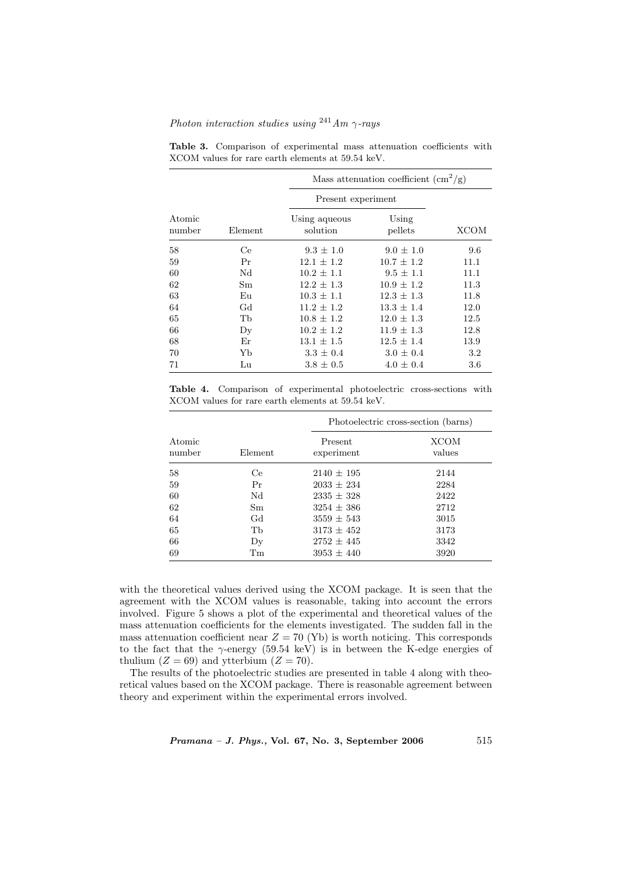|                  |         | Mass attenuation coefficient $\rm (cm^2/g)$ |                  |             |  |
|------------------|---------|---------------------------------------------|------------------|-------------|--|
|                  |         | Present experiment                          |                  |             |  |
| Atomic<br>number | Element | Using aqueous<br>solution                   | Using<br>pellets | <b>XCOM</b> |  |
| 58               | Сe      | $9.3 \pm 1.0$                               | $9.0 \pm 1.0$    | 9.6         |  |
| 59               | Pr      | $12.1 + 1.2$                                | $10.7 \pm 1.2$   | 11.1        |  |
| 60               | Nd      | $10.2 \pm 1.1$                              | $9.5 \pm 1.1$    | 11.1        |  |
| 62               | Sm      | $12.2 \pm 1.3$                              | $10.9 \pm 1.2$   | 11.3        |  |
| 63               | Εu      | $10.3 \pm 1.1$                              | $12.3 \pm 1.3$   | 11.8        |  |
| 64               | Gd      | $11.2 \pm 1.2$                              | $13.3 \pm 1.4$   | 12.0        |  |
| 65               | Tb      | $10.8 \pm 1.2$                              | $12.0 \pm 1.3$   | 12.5        |  |
| 66               | Dv      | $10.2 + 1.2$                                | $11.9 \pm 1.3$   | 12.8        |  |
| 68               | Er      | $13.1 \pm 1.5$                              | $12.5 \pm 1.4$   | 13.9        |  |
| 70               | Yb      | $3.3 \pm 0.4$                               | $3.0 \pm 0.4$    | 3.2         |  |
| 71               | Lu      | $3.8 \pm 0.5$                               | $4.0 \pm 0.4$    | 3.6         |  |

Table 3. Comparison of experimental mass attenuation coefficients with XCOM values for rare earth elements at 59.54 keV.

Table 4. Comparison of experimental photoelectric cross-sections with XCOM values for rare earth elements at 59.54 keV.

|                  |              | Photoelectric cross-section (barns) |                       |  |  |
|------------------|--------------|-------------------------------------|-----------------------|--|--|
| Atomic<br>number | Element      | Present<br>experiment               | <b>XCOM</b><br>values |  |  |
| 58               | Ce           | $2140 \pm 195$                      | 2144                  |  |  |
| 59               | Pr           | $2033 \pm 234$                      | 2284                  |  |  |
| 60               | Nd           | $2335 \pm 328$                      | 2422                  |  |  |
| 62               | Sm           | $3254 \pm 386$                      | 2712                  |  |  |
| 64               | $_{\rm{Gd}}$ | $3559 \pm 543$                      | 3015                  |  |  |
| 65               | Tb           | $3173 \pm 452$                      | 3173                  |  |  |
| 66               | Dv           | $2752 \pm 445$                      | 3342                  |  |  |
| 69               | Tm           | $3953 \pm 440$                      | 3920                  |  |  |

with the theoretical values derived using the XCOM package. It is seen that the agreement with the XCOM values is reasonable, taking into account the errors involved. Figure 5 shows a plot of the experimental and theoretical values of the mass attenuation coefficients for the elements investigated. The sudden fall in the mass attenuation coefficient near  $Z = 70$  (Yb) is worth noticing. This corresponds to the fact that the  $\gamma$ -energy (59.54 keV) is in between the K-edge energies of thulium  $(Z = 69)$  and ytterbium  $(Z = 70)$ .

The results of the photoelectric studies are presented in table 4 along with theoretical values based on the XCOM package. There is reasonable agreement between theory and experiment within the experimental errors involved.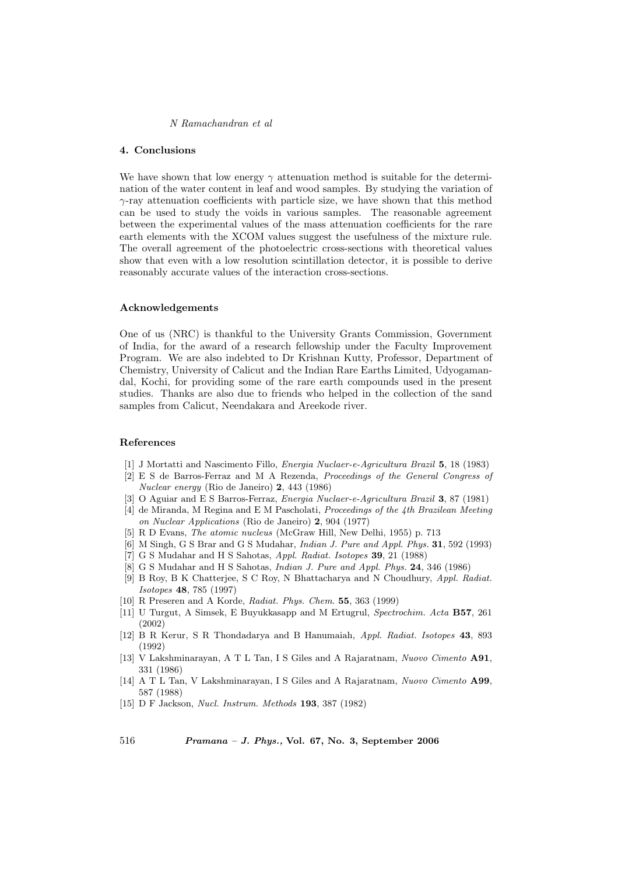### 4. Conclusions

We have shown that low energy  $\gamma$  attenuation method is suitable for the determination of the water content in leaf and wood samples. By studying the variation of  $\gamma$ -ray attenuation coefficients with particle size, we have shown that this method can be used to study the voids in various samples. The reasonable agreement between the experimental values of the mass attenuation coefficients for the rare earth elements with the XCOM values suggest the usefulness of the mixture rule. The overall agreement of the photoelectric cross-sections with theoretical values show that even with a low resolution scintillation detector, it is possible to derive reasonably accurate values of the interaction cross-sections.

#### Acknowledgements

One of us (NRC) is thankful to the University Grants Commission, Government of India, for the award of a research fellowship under the Faculty Improvement Program. We are also indebted to Dr Krishnan Kutty, Professor, Department of Chemistry, University of Calicut and the Indian Rare Earths Limited, Udyogamandal, Kochi, for providing some of the rare earth compounds used in the present studies. Thanks are also due to friends who helped in the collection of the sand samples from Calicut, Neendakara and Areekode river.

#### References

- [1] J Mortatti and Nascimento Fillo, Energia Nuclaer-e-Agricultura Brazil 5, 18 (1983)
- [2] E S de Barros-Ferraz and M A Rezenda, Proceedings of the General Congress of Nuclear energy (Rio de Janeiro) 2, 443 (1986)
- [3] O Aguiar and E S Barros-Ferraz, Energia Nuclaer-e-Agricultura Brazil 3, 87 (1981)
- [4] de Miranda, M Regina and E M Pascholati, *Proceedings of the 4th Brazilean Meeting* on Nuclear Applications (Rio de Janeiro) 2, 904 (1977)
- [5] R D Evans, The atomic nucleus (McGraw Hill, New Delhi, 1955) p. 713
- [6] M Singh, G S Brar and G S Mudahar, Indian J. Pure and Appl. Phys. 31, 592 (1993)
- [7] G S Mudahar and H S Sahotas, Appl. Radiat. Isotopes 39, 21 (1988)
- [8] G S Mudahar and H S Sahotas, Indian J. Pure and Appl. Phys. 24, 346 (1986)
- [9] B Roy, B K Chatterjee, S C Roy, N Bhattacharya and N Choudhury, Appl. Radiat. Isotopes 48, 785 (1997)
- [10] R Preseren and A Korde, *Radiat. Phys. Chem.* **55**, 363 (1999)
- [11] U Turgut, A Simsek, E Buyukkasapp and M Ertugrul, Spectrochim. Acta B57, 261 (2002)
- [12] B R Kerur, S R Thondadarya and B Hanumaiah, Appl. Radiat. Isotopes 43, 893 (1992)
- [13] V Lakshminarayan, A T L Tan, I S Giles and A Rajaratnam, Nuovo Cimento A91, 331 (1986)
- [14] A T L Tan, V Lakshminarayan, I S Giles and A Rajaratnam, Nuovo Cimento A99, 587 (1988)
- [15] D F Jackson, Nucl. Instrum. Methods 193, 387 (1982)